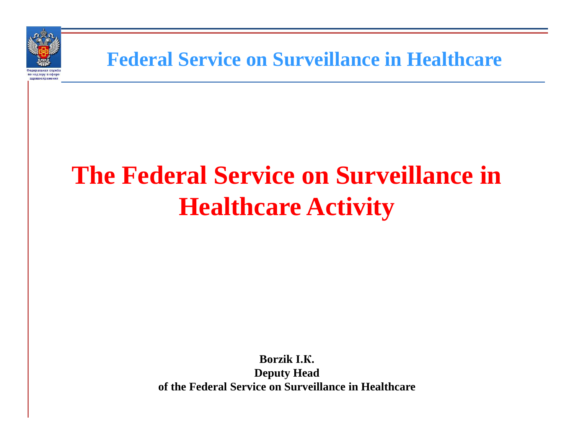

**Federal Service on Surveillance in Healthcare**

# **The Federal Service on Surveillance in Healthcare Activity**

**Borzik I. К.Deputy Headof the Federal Service on Surveillance in Healthcare**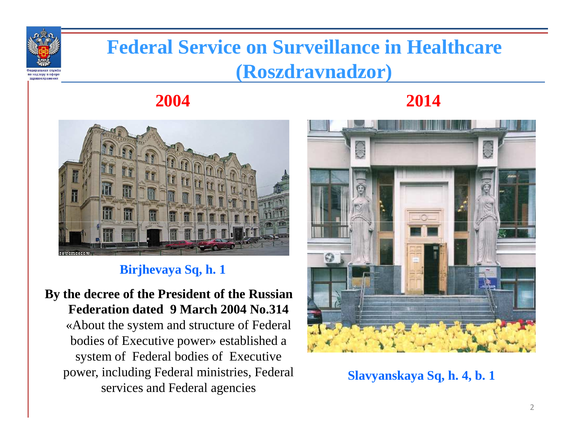

# **Federal Service on Surveillance in Healthcare (Roszdravnadzor)**

#### **2004 2014**



#### **Birjhevaya Sq, h. 1**

**By the decree of the President of the Russian Federation dated 9 March 2004 No.314** «About the system and structure of Federal bodies of Executive power» established a system of Federal bodies of Executive power, including Federal ministries, Federal services and Federal agencies



**Slavyanskaya Sq, h. 4, b. 1**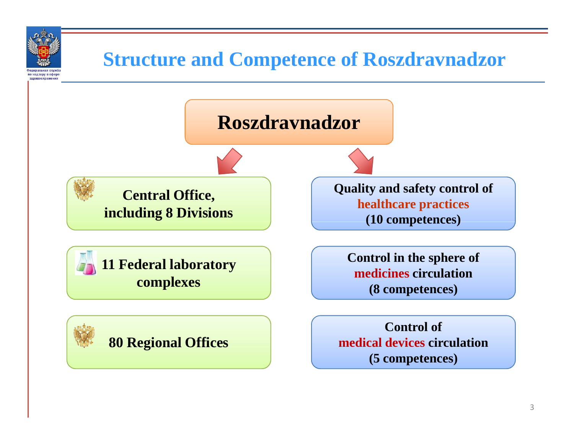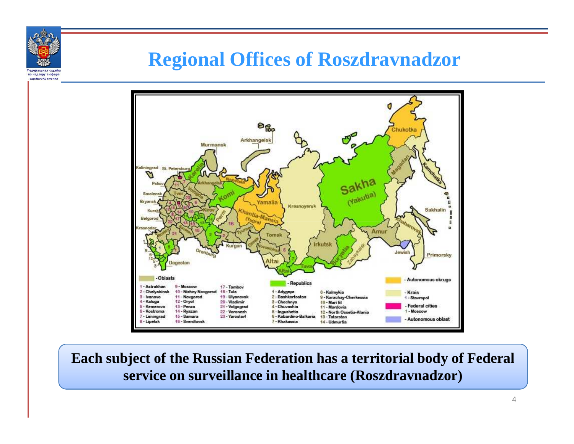

здравоохранени

### **Regional Offices of Roszdravnadzor**



**Each subject of the Russian Federation has a territorial body of Federal service on surveillance in healthcare (Roszdravnadzor)**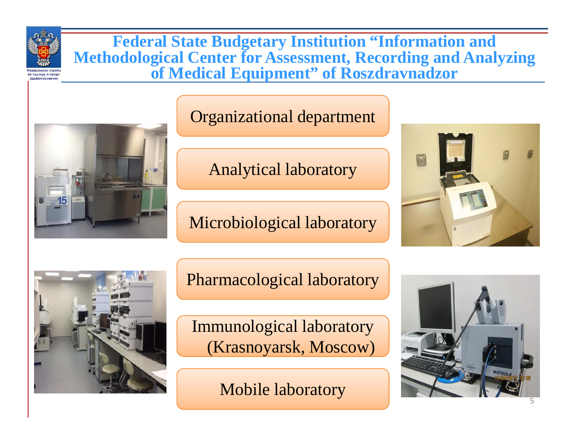

**Federal State Budgetary Institution "Information and Methodological Center for Assessment, Recording and Analyzing of Medical Equipment" of Roszdravnadzor**



#### Organizational department

Analytical laboratory

Microbiological laboratory





Pharmacological laboratory

Krasnoyarsk, Moscow)<br>Mobile laboratory Immunological laboratory

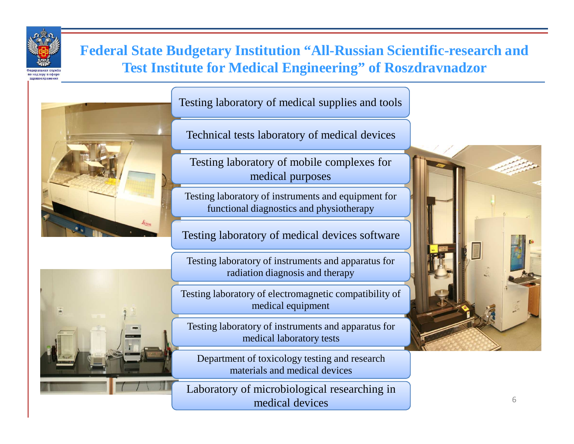

#### **Federal State Budgetary Institution "All-Russian Scientific-research and Test Institute for Medical Engineering" of Roszdravnadzor**





Technical tests laboratory of medical devices

Testing laboratory of mobile complexes for medical purposes

Testing laboratory of instruments and equipment forfunctional diagnostics and physiotherapy

Testing laboratory of medical devices software

Testing laboratory of instruments and apparatus forradiation diagnosis and therapy

Testing laboratory of electromagnetic compatibility of medical equipment

Testing laboratory of instruments and apparatus formedical laboratory tests

Department of toxicology testing and research materials and medical devices

Laboratory of microbiological researching in medical devices

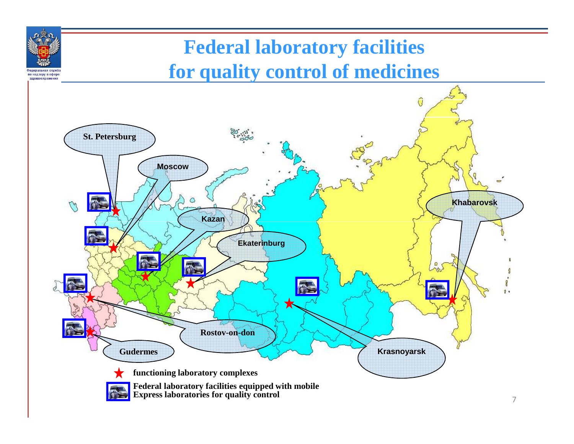# **Federal laboratory facilitiesfor quality control of medicines**

по надзору в сфере здравоохранен

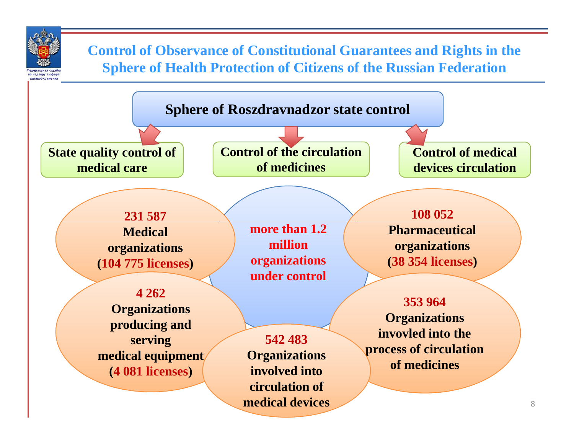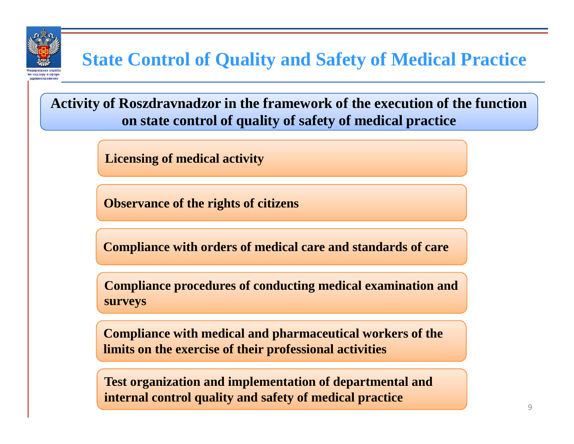

**Activity of Roszdravnadzor in the framework of the execution of the function on state control of quality of safety of medical practice**

**Licensing of medical activity**

**Observance of the rights of citizens**

**Compliance with orders of medical care and standards of care**

**Compliance procedures of conducting medical examination and surveys**

**Compliance with medical and pharmaceutical workers of the limits on the exercise of their professional activities**

**Test organization and implementation of departmental and internal control quality and safety of medical practice**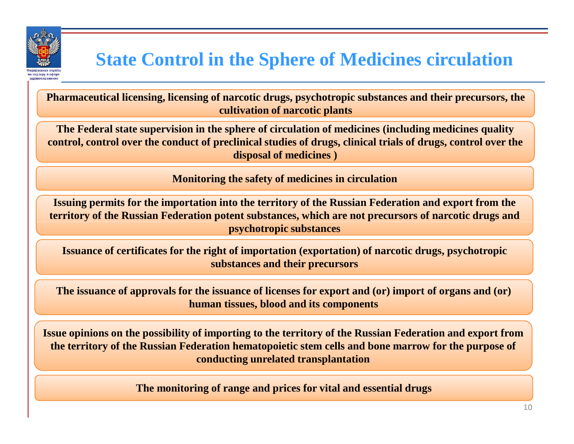

# **State Control in the Sphere of Medicines circulation**

**Pharmaceutical licensing, licensing of narcotic drugs, psychotropic substances and their precursors, the cultivation of narcotic plants**

**The Federal state supervision in the sphere of circulation of medicines (including medicines quality control, control over the conduct of preclinical studies of drugs, clinical trials of drugs, control over the disposal of medicines )**

**Monitoring the safety of medicines in circulation**

**Issuing permits for the importation into the territory of the Russian Federation and export from the territory of the Russian Federation potent substances, which are not precursors of narcotic drugs and psychotropic substances**

**Issuance of certificates for the right of importation (exportation) of narcotic drugs, psychotropic substances and their precursors**

**The issuance of approvals for the issuance of licenses for export and (or) import of organs and (or) human tissues, blood and its components**

**Issue opinions on the possibility of importing to the territory of the Russian Federation and export from the territory of the Russian Federation hematopoietic stem cells and bone marrow for the purpose of conducting unrelated transplantation**

**The monitoring of range and prices for vital and essential drugs**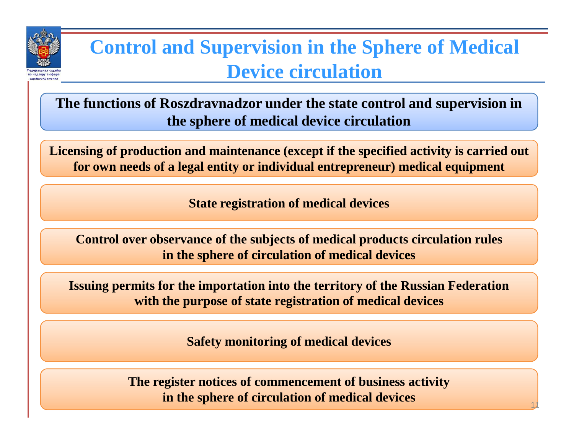

# **Control and Supervision in the Sphere of Medical Device circulation**

**The functions of Roszdravnadzor under the state control and supervision in the sphere of medical device circulation**

**Licensing of production and maintenance (except if the specified activity is carried out for own needs of a legal entity or individual entrepreneur) medical equipment**

**State registration of medical devices**

**Control over observance of the subjects of medical products circulation rulesin the sphere of circulation of medical devices**

**Issuing permits for the importation into the territory of the Russian Federationwith the purpose of state registration of medical devices**

**Safety monitoring of medical devices**

**The register notices of commencement of business activityin the sphere of circulation of medical devices**11 - Andrew Marian, and the set of  $11$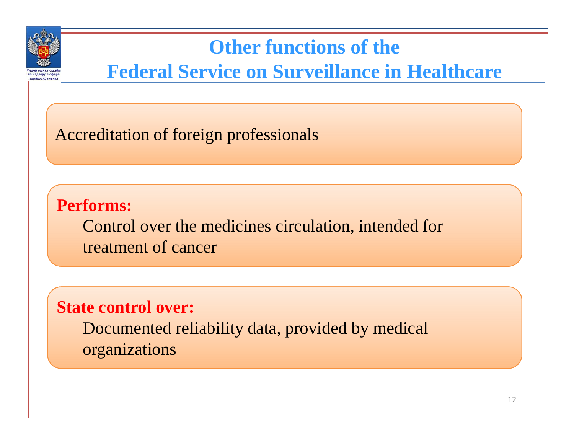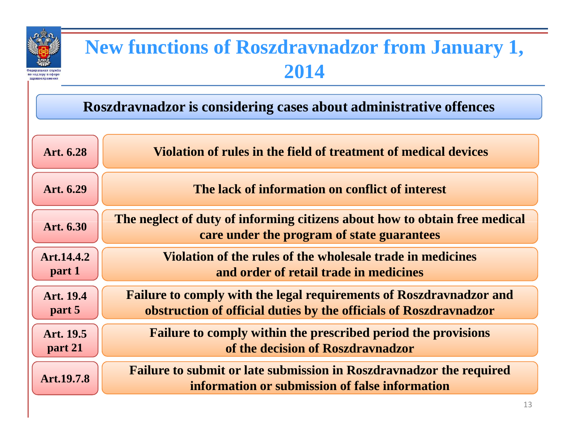| <b>New functions of Roszdravnadzor from January 1,</b><br>2014    |                                                                                                                                                 |
|-------------------------------------------------------------------|-------------------------------------------------------------------------------------------------------------------------------------------------|
| Roszdravnadzor is considering cases about administrative offences |                                                                                                                                                 |
| Art. 6.28                                                         | Violation of rules in the field of treatment of medical devices                                                                                 |
| Art. 6.29                                                         | The lack of information on conflict of interest                                                                                                 |
| Art. 6.30                                                         | The neglect of duty of informing citizens about how to obtain free medical<br>care under the program of state guarantees                        |
| Art.14.4.2<br>part 1                                              | Violation of the rules of the wholesale trade in medicines<br>and order of retail trade in medicines                                            |
| Art. 19.4<br>part 5                                               | <b>Failure to comply with the legal requirements of Roszdravnadzor and</b><br>obstruction of official duties by the officials of Roszdravnadzor |
| Art. 19.5<br>part 21                                              | <b>Failure to comply within the prescribed period the provisions</b><br>of the decision of Roszdravnadzor                                       |
| Art.19.7.8                                                        | <b>Failure to submit or late submission in Roszdravnadzor the required</b><br>information or submission of false information                    |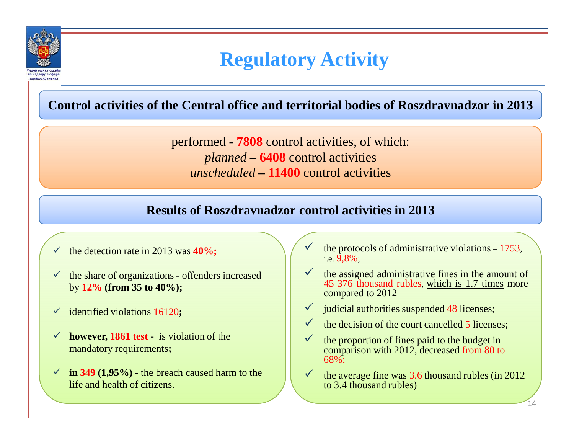

# **Regulatory Activity**

**Control activities of the Central office and territorial bodies of Roszdravnadzor in 2013**

performed - **<sup>7808</sup>** control activities, of which: *planned* **– <sup>6408</sup>** control activities *unscheduled* **– <sup>11400</sup>** control activities

#### **Results of Roszdravnadzor control activities in 2013**

- $\checkmark$ the detection rate in 2013 was **40%;**
- $\checkmark$  the share of organizations offenders increased by **12% (from 35 to 40%);**
- identified violations 16120**;**
- **however, 1861 test -** is violation of the mandatory requirements**;**
- $\checkmark$  in 349 (1,95%) the breach caused harm to the life and health of citizens.
- $\checkmark$  the protocols of administrative violations – <sup>1753</sup>, i.e. 9,8%;
- $\checkmark$  $\checkmark$  the assigned administrative fines in the amount of 45 376 thousand rubles, <u>which is 1.7 times</u> more compared to 2012
- $\checkmark$ judicial authorities suspended 48 licenses;
- $\checkmark$ the decision of the court cancelled 5 licenses;<br>the proportion of fines paid to the budget in
- $\checkmark$  the proportion of fines paid to the budget in comparison with 2012, decreased from 80 to68%;
- $\checkmark$  the average fine was 3.6 thousand rubles (in 2012 to 3.4 thousand rubles)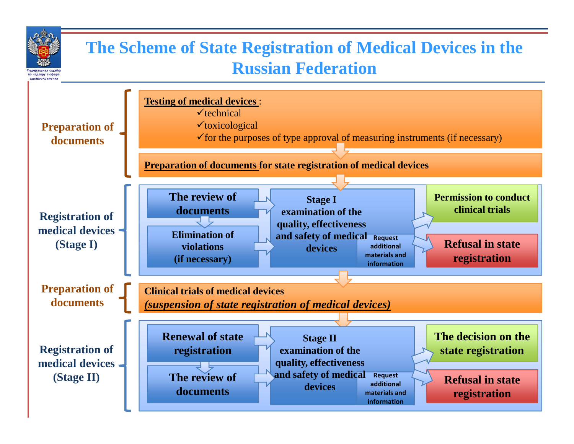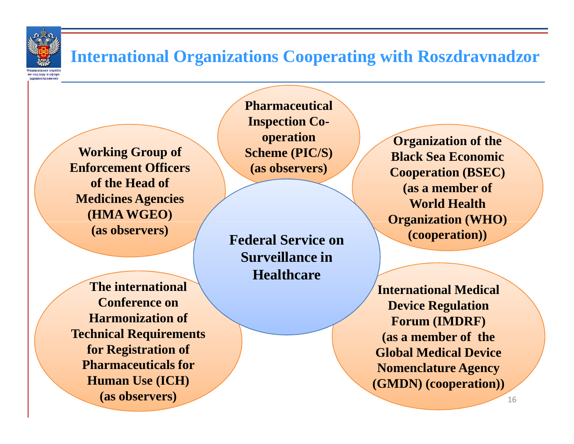

#### **International Organizations Cooperating with Roszdravnadzor**

**Working Group of Enforcement Officers of the Head of Medicines Agencies (HMA WGEO)(as observers)**

**The internationalConference on Harmonization ofTechnical Requirementsfor Registration of Pharmaceuticals for Human Use (ICH)(as observers)**

**Pharmaceutical Inspection Cooperation Scheme (PIC/S) (as observers)**

**Federal Service on Surveillance in Healthcare**

**Organization of the Black Sea Economic Cooperation (BSEC) (as a member of World Health Organization (WHO) (cooperation))**

**International MedicalDevice Regulation Forum (IMDRF)(as a member of the Global Medical Device Nomenclature Agency (GMDN) (cooperation))**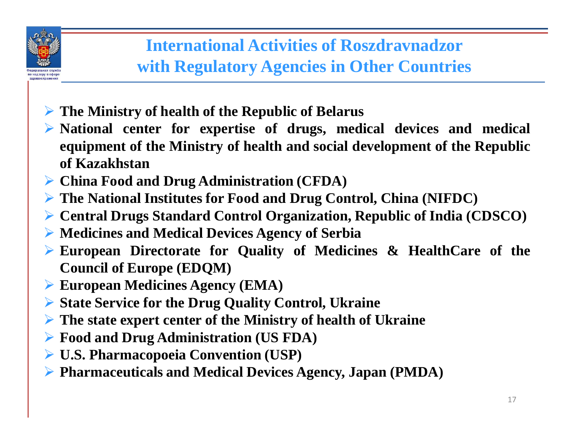

#### **International Activities of Roszdravnadzorwith Regulatory Agencies in Other Countries**

- **The Ministry of health of the Republic of Belarus**

- $\blacktriangleright$  **National center for expertise of drugs, medical devices and medical** equipment of the Ministry of health and social development of the Republic **of Kazakhstan**
- **China Food and Drug Administration (CFDA)**
- $\blacktriangleright$ **The National Institutes for Food and Drug Control, China (NIFDC)**
- $\blacktriangleright$ **Central Drugs Standard Control Organization, Republic of India (CDSCO)**
- $\blacktriangleright$ **Medicines and Medical Devices Agency of Serbia**
- $\blacktriangleright$  **European Directorate for Quality of Medicines & HealthCare of the Council of Europe (EDQM)**
- $\blacktriangleright$ **European Medicines Agency (EMA)**
- $\blacktriangleright$ **State Service for the Drug Quality Control, Ukraine**
- $\blacktriangleright$ **The state expert center of the Ministry of health of Ukraine**
- $\blacktriangleright$ **Food and Drug Administration (US FDA)**
- **U.S. Pharmacopoeia Convention (USP)**
- **Pharmaceuticals and Medical Devices Agency, Japan (PMDA)**